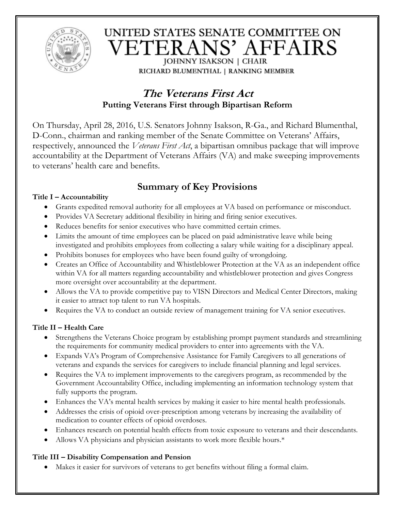

# UNITED STATES SENATE COMMITTEE ON VETERANS' AFFAIRS **JOHNNY ISAKSON | CHAIR**

RICHARD BLUMENTHAL | RANKING MEMBER

# **The Veterans First Act Putting Veterans First through Bipartisan Reform**

On Thursday, April 28, 2016, U.S. Senators Johnny Isakson, R-Ga., and Richard Blumenthal, D-Conn., chairman and ranking member of the Senate Committee on Veterans' Affairs, respectively, announced the *Veterans First Act*, a bipartisan omnibus package that will improve accountability at the Department of Veterans Affairs (VA) and make sweeping improvements to veterans' health care and benefits.

# **Summary of Key Provisions**

### **Title I – Accountability**

- Grants expedited removal authority for all employees at VA based on performance or misconduct.
- Provides VA Secretary additional flexibility in hiring and firing senior executives.
- Reduces benefits for senior executives who have committed certain crimes.
- Limits the amount of time employees can be placed on paid administrative leave while being investigated and prohibits employees from collecting a salary while waiting for a disciplinary appeal.
- Prohibits bonuses for employees who have been found guilty of wrongdoing.
- Creates an Office of Accountability and Whistleblower Protection at the VA as an independent office within VA for all matters regarding accountability and whistleblower protection and gives Congress more oversight over accountability at the department.
- Allows the VA to provide competitive pay to VISN Directors and Medical Center Directors, making it easier to attract top talent to run VA hospitals.
- Requires the VA to conduct an outside review of management training for VA senior executives.

## **Title II – Health Care**

- Strengthens the Veterans Choice program by establishing prompt payment standards and streamlining the requirements for community medical providers to enter into agreements with the VA.
- Expands VA's Program of Comprehensive Assistance for Family Caregivers to all generations of veterans and expands the services for caregivers to include financial planning and legal services.
- Requires the VA to implement improvements to the caregivers program, as recommended by the Government Accountability Office, including implementing an information technology system that fully supports the program.
- Enhances the VA's mental health services by making it easier to hire mental health professionals.
- Addresses the crisis of opioid over-prescription among veterans by increasing the availability of medication to counter effects of opioid overdoses.
- Enhances research on potential health effects from toxic exposure to veterans and their descendants.
- Allows VA physicians and physician assistants to work more flexible hours.\*

### **Title III – Disability Compensation and Pension**

Makes it easier for survivors of veterans to get benefits without filing a formal claim.